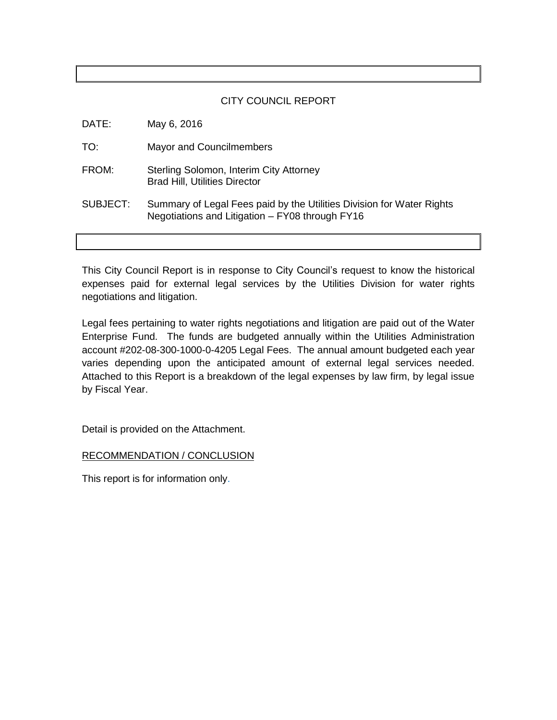## CITY COUNCIL REPORT

| DATE:    | May 6, 2016                                                                                                              |
|----------|--------------------------------------------------------------------------------------------------------------------------|
| TO:      | Mayor and Councilmembers                                                                                                 |
| FROM:    | Sterling Solomon, Interim City Attorney<br><b>Brad Hill, Utilities Director</b>                                          |
| SUBJECT: | Summary of Legal Fees paid by the Utilities Division for Water Rights<br>Negotiations and Litigation - FY08 through FY16 |
|          |                                                                                                                          |

This City Council Report is in response to City Council's request to know the historical expenses paid for external legal services by the Utilities Division for water rights negotiations and litigation.

Legal fees pertaining to water rights negotiations and litigation are paid out of the Water Enterprise Fund. The funds are budgeted annually within the Utilities Administration account #202-08-300-1000-0-4205 Legal Fees. The annual amount budgeted each year varies depending upon the anticipated amount of external legal services needed. Attached to this Report is a breakdown of the legal expenses by law firm, by legal issue by Fiscal Year.

Detail is provided on the Attachment.

RECOMMENDATION / CONCLUSION

This report is for information only.